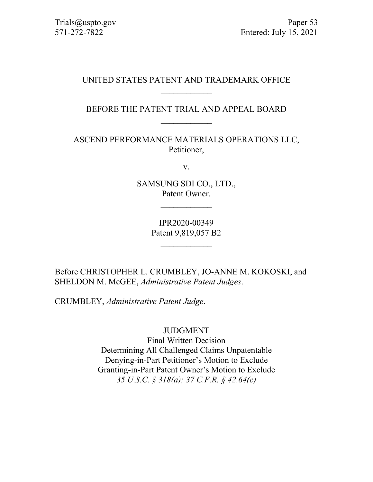# UNITED STATES PATENT AND TRADEMARK OFFICE  $\overline{\phantom{a}}$

BEFORE THE PATENT TRIAL AND APPEAL BOARD  $\mathcal{L}_\text{max}$ 

ASCEND PERFORMANCE MATERIALS OPERATIONS LLC, Petitioner,

v.

SAMSUNG SDI CO., LTD., Patent Owner.

 $\mathcal{L}$  , we have the set of the set of the set of the set of the set of the set of the set of the set of the set of the set of the set of the set of the set of the set of the set of the set of the set of the set of the

IPR2020-00349 Patent 9,819,057 B2

 $\mathcal{L}$  , we have the set of the set of the set of the set of the set of the set of the set of the set of the set of the set of the set of the set of the set of the set of the set of the set of the set of the set of the

Before CHRISTOPHER L. CRUMBLEY, JO-ANNE M. KOKOSKI, and SHELDON M. McGEE, *Administrative Patent Judges*.

CRUMBLEY, *Administrative Patent Judge*.

JUDGMENT

Final Written Decision Determining All Challenged Claims Unpatentable Denying-in-Part Petitioner's Motion to Exclude Granting-in-Part Patent Owner's Motion to Exclude *35 U.S.C. § 318(a); 37 C.F.R. § 42.64(c)*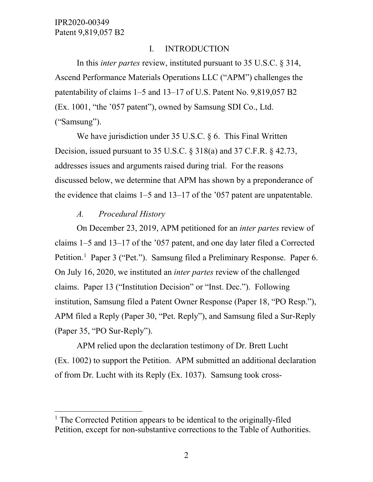#### I. INTRODUCTION

In this *inter partes* review, instituted pursuant to 35 U.S.C. § 314, Ascend Performance Materials Operations LLC ("APM") challenges the patentability of claims 1–5 and 13–17 of U.S. Patent No. 9,819,057 B2 (Ex. 1001, "the '057 patent"), owned by Samsung SDI Co., Ltd. ("Samsung").

We have jurisdiction under 35 U.S.C. § 6. This Final Written Decision, issued pursuant to 35 U.S.C. § 318(a) and 37 C.F.R. § 42.73, addresses issues and arguments raised during trial. For the reasons discussed below, we determine that APM has shown by a preponderance of the evidence that claims 1–5 and 13–17 of the '057 patent are unpatentable.

#### *A. Procedural History*

On December 23, 2019, APM petitioned for an *inter partes* review of claims 1–5 and 13–17 of the '057 patent, and one day later filed a Corrected Petition.<sup>[1](#page-1-0)</sup> Paper 3 ("Pet."). Samsung filed a Preliminary Response. Paper 6. On July 16, 2020, we instituted an *inter partes* review of the challenged claims. Paper 13 ("Institution Decision" or "Inst. Dec."). Following institution, Samsung filed a Patent Owner Response (Paper 18, "PO Resp."), APM filed a Reply (Paper 30, "Pet. Reply"), and Samsung filed a Sur-Reply (Paper 35, "PO Sur-Reply").

APM relied upon the declaration testimony of Dr. Brett Lucht (Ex. 1002) to support the Petition. APM submitted an additional declaration of from Dr. Lucht with its Reply (Ex. 1037). Samsung took cross-

<span id="page-1-0"></span> $<sup>1</sup>$  The Corrected Petition appears to be identical to the originally-filed</sup> Petition, except for non-substantive corrections to the Table of Authorities.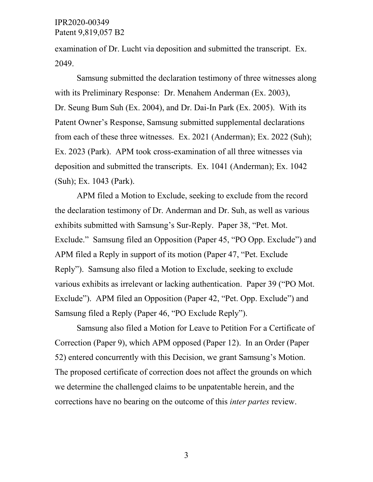examination of Dr. Lucht via deposition and submitted the transcript. Ex. 2049.

Samsung submitted the declaration testimony of three witnesses along with its Preliminary Response: Dr. Menahem Anderman (Ex. 2003), Dr. Seung Bum Suh (Ex. 2004), and Dr. Dai-In Park (Ex. 2005). With its Patent Owner's Response, Samsung submitted supplemental declarations from each of these three witnesses. Ex. 2021 (Anderman); Ex. 2022 (Suh); Ex. 2023 (Park). APM took cross-examination of all three witnesses via deposition and submitted the transcripts. Ex. 1041 (Anderman); Ex. 1042 (Suh); Ex. 1043 (Park).

APM filed a Motion to Exclude, seeking to exclude from the record the declaration testimony of Dr. Anderman and Dr. Suh, as well as various exhibits submitted with Samsung's Sur-Reply. Paper 38, "Pet. Mot. Exclude." Samsung filed an Opposition (Paper 45, "PO Opp. Exclude") and APM filed a Reply in support of its motion (Paper 47, "Pet. Exclude Reply"). Samsung also filed a Motion to Exclude, seeking to exclude various exhibits as irrelevant or lacking authentication. Paper 39 ("PO Mot. Exclude"). APM filed an Opposition (Paper 42, "Pet. Opp. Exclude") and Samsung filed a Reply (Paper 46, "PO Exclude Reply").

Samsung also filed a Motion for Leave to Petition For a Certificate of Correction (Paper 9), which APM opposed (Paper 12). In an Order (Paper 52) entered concurrently with this Decision, we grant Samsung's Motion. The proposed certificate of correction does not affect the grounds on which we determine the challenged claims to be unpatentable herein, and the corrections have no bearing on the outcome of this *inter partes* review.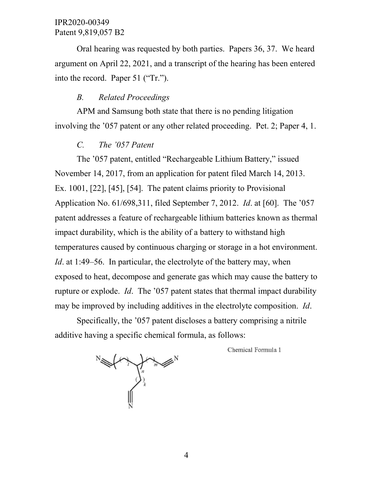Oral hearing was requested by both parties. Papers 36, 37. We heard argument on April 22, 2021, and a transcript of the hearing has been entered into the record. Paper 51 ("Tr.").

#### *B. Related Proceedings*

APM and Samsung both state that there is no pending litigation involving the '057 patent or any other related proceeding. Pet. 2; Paper 4, 1.

# *C. The '057 Patent*

The '057 patent, entitled "Rechargeable Lithium Battery," issued November 14, 2017, from an application for patent filed March 14, 2013. Ex. 1001, [22], [45], [54]. The patent claims priority to Provisional Application No. 61/698,311, filed September 7, 2012. *Id*. at [60]. The '057 patent addresses a feature of rechargeable lithium batteries known as thermal impact durability, which is the ability of a battery to withstand high temperatures caused by continuous charging or storage in a hot environment. *Id.* at 1:49–56. In particular, the electrolyte of the battery may, when exposed to heat, decompose and generate gas which may cause the battery to rupture or explode. *Id*. The '057 patent states that thermal impact durability may be improved by including additives in the electrolyte composition. *Id*.

Specifically, the '057 patent discloses a battery comprising a nitrile additive having a specific chemical formula, as follows:

Chemical Formula 1

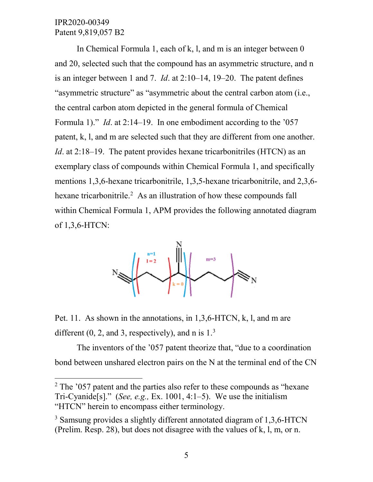In Chemical Formula 1, each of k, l, and m is an integer between 0 and 20, selected such that the compound has an asymmetric structure, and n is an integer between 1 and 7. *Id*. at 2:10–14, 19–20. The patent defines "asymmetric structure" as "asymmetric about the central carbon atom (i.e., the central carbon atom depicted in the general formula of Chemical Formula 1)." *Id*. at 2:14–19. In one embodiment according to the '057 patent, k, l, and m are selected such that they are different from one another. *Id*. at 2:18–19. The patent provides hexane tricarbonitriles (HTCN) as an exemplary class of compounds within Chemical Formula 1, and specifically mentions 1,3,6-hexane tricarbonitrile, 1,3,5-hexane tricarbonitrile, and 2,3,6- hexane tricarbonitrile.<sup>[2](#page-4-0)</sup> As an illustration of how these compounds fall within Chemical Formula 1, APM provides the following annotated diagram of 1,3,6-HTCN:



Pet. 11. As shown in the annotations, in 1,3,6-HTCN, k, l, and m are different  $(0, 2,$  and [3](#page-4-1), respectively), and n is  $1<sup>3</sup>$ 

The inventors of the '057 patent theorize that, "due to a coordination bond between unshared electron pairs on the N at the terminal end of the CN

<span id="page-4-0"></span> $2$  The  $3$  to  $2$  patent and the parties also refer to these compounds as "hexane" Tri-Cyanide[s]." (*See, e.g.,* Ex. 1001, 4:1–5). We use the initialism "HTCN" herein to encompass either terminology.

<span id="page-4-1"></span><sup>&</sup>lt;sup>3</sup> Samsung provides a slightly different annotated diagram of 1,3,6-HTCN (Prelim. Resp. 28), but does not disagree with the values of k, l, m, or n.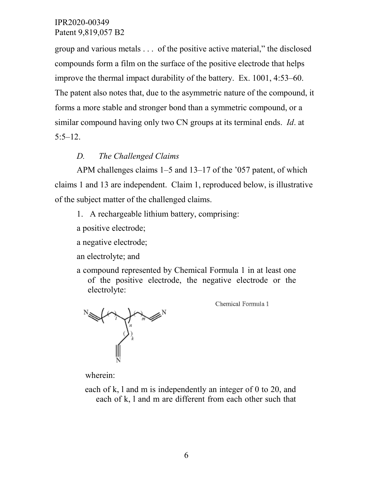group and various metals . . . of the positive active material," the disclosed compounds form a film on the surface of the positive electrode that helps improve the thermal impact durability of the battery. Ex. 1001, 4:53–60. The patent also notes that, due to the asymmetric nature of the compound, it forms a more stable and stronger bond than a symmetric compound, or a similar compound having only two CN groups at its terminal ends. *Id*. at  $5:5-12.$ 

### *D. The Challenged Claims*

APM challenges claims 1–5 and 13–17 of the '057 patent, of which claims 1 and 13 are independent. Claim 1, reproduced below, is illustrative of the subject matter of the challenged claims.

1. A rechargeable lithium battery, comprising:

a positive electrode;

a negative electrode;

an electrolyte; and

a compound represented by Chemical Formula 1 in at least one of the positive electrode, the negative electrode or the electrolyte:

Chemical Formula 1



wherein:

each of k, l and m is independently an integer of 0 to 20, and each of k, l and m are different from each other such that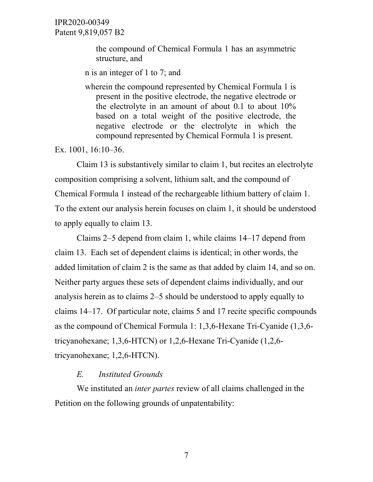> the compound of Chemical Formula 1 has an asymmetric structure, and

n is an integer of 1 to 7; and

wherein the compound represented by Chemical Formula 1 is present in the positive electrode, the negative electrode or the electrolyte in an amount of about 0.1 to about 10% based on a total weight of the positive electrode, the negative electrode or the electrolyte in which the compound represented by Chemical Formula 1 is present.

Ex. 1001, 16:10–36.

Claim 13 is substantively similar to claim 1, but recites an electrolyte composition comprising a solvent, lithium salt, and the compound of Chemical Formula 1 instead of the rechargeable lithium battery of claim 1. To the extent our analysis herein focuses on claim 1, it should be understood to apply equally to claim 13.

Claims 2–5 depend from claim 1, while claims 14–17 depend from claim 13. Each set of dependent claims is identical; in other words, the added limitation of claim 2 is the same as that added by claim 14, and so on. Neither party argues these sets of dependent claims individually, and our analysis herein as to claims 2–5 should be understood to apply equally to claims 14–17. Of particular note, claims 5 and 17 recite specific compounds as the compound of Chemical Formula 1: 1,3,6-Hexane Tri-Cyanide (1,3,6 tricyanohexane; 1,3,6-HTCN) or 1,2,6-Hexane Tri-Cyanide (1,2,6 tricyanohexane; 1,2,6-HTCN).

#### *E. Instituted Grounds*

We instituted an *inter partes* review of all claims challenged in the Petition on the following grounds of unpatentability: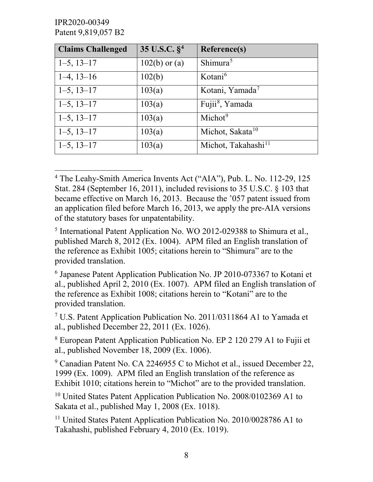IPR2020-00349 Patent 9,819,057 B2

| <b>Claims Challenged</b> | 35 U.S.C. $\S^4$ | <b>Reference(s)</b>             |
|--------------------------|------------------|---------------------------------|
| $1-5$ , $13-17$          | $102(b)$ or (a)  | Shimura <sup>5</sup>            |
| $1-4, 13-16$             | 102(b)           | Kotani <sup>6</sup>             |
| $1-5$ , $13-17$          | 103(a)           | Kotani, Yamada <sup>7</sup>     |
| $1-5$ , $13-17$          | 103(a)           | Fujii <sup>8</sup> , Yamada     |
| $1-5$ , $13-17$          | 103(a)           | Michot <sup>9</sup>             |
| $1-5$ , $13-17$          | 103(a)           | Michot, Sakata <sup>10</sup>    |
| $1-5$ , $13-17$          | 103(a)           | Michot, Takahashi <sup>11</sup> |

<span id="page-7-0"></span> <sup>4</sup> The Leahy-Smith America Invents Act ("AIA"), Pub. L. No. 112-29, 125 Stat. 284 (September 16, 2011), included revisions to 35 U.S.C. § 103 that became effective on March 16, 2013. Because the '057 patent issued from an application filed before March 16, 2013, we apply the pre-AIA versions of the statutory bases for unpatentability.

<span id="page-7-1"></span><sup>5</sup> International Patent Application No. WO 2012-029388 to Shimura et al., published March 8, 2012 (Ex. 1004). APM filed an English translation of the reference as Exhibit 1005; citations herein to "Shimura" are to the provided translation.

<span id="page-7-2"></span><sup>6</sup> Japanese Patent Application Publication No. JP 2010-073367 to Kotani et al., published April 2, 2010 (Ex. 1007). APM filed an English translation of the reference as Exhibit 1008; citations herein to "Kotani" are to the provided translation.

<span id="page-7-3"></span><sup>7</sup> U.S. Patent Application Publication No. 2011/0311864 A1 to Yamada et al., published December 22, 2011 (Ex. 1026).

<span id="page-7-4"></span><sup>8</sup> European Patent Application Publication No. EP 2 120 279 A1 to Fujii et al., published November 18, 2009 (Ex. 1006).

<span id="page-7-5"></span><sup>9</sup> Canadian Patent No. CA 2246955 C to Michot et al., issued December 22, 1999 (Ex. 1009). APM filed an English translation of the reference as Exhibit 1010; citations herein to "Michot" are to the provided translation.

<span id="page-7-6"></span><sup>10</sup> United States Patent Application Publication No. 2008/0102369 A1 to Sakata et al., published May 1, 2008 (Ex. 1018).

<span id="page-7-7"></span><sup>11</sup> United States Patent Application Publication No. 2010/0028786 A1 to Takahashi, published February 4, 2010 (Ex. 1019).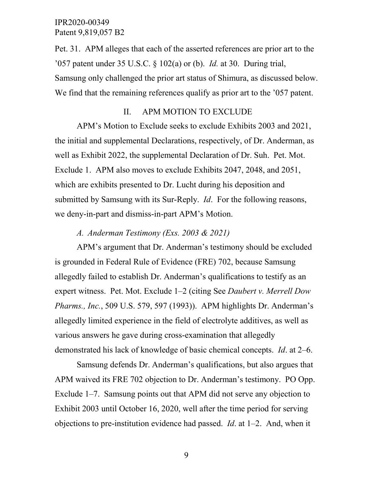Pet. 31. APM alleges that each of the asserted references are prior art to the '057 patent under 35 U.S.C. § 102(a) or (b). *Id.* at 30. During trial, Samsung only challenged the prior art status of Shimura, as discussed below. We find that the remaining references qualify as prior art to the '057 patent.

## II. APM MOTION TO EXCLUDE

APM's Motion to Exclude seeks to exclude Exhibits 2003 and 2021, the initial and supplemental Declarations, respectively, of Dr. Anderman, as well as Exhibit 2022, the supplemental Declaration of Dr. Suh. Pet. Mot. Exclude 1. APM also moves to exclude Exhibits 2047, 2048, and 2051, which are exhibits presented to Dr. Lucht during his deposition and submitted by Samsung with its Sur-Reply. *Id*. For the following reasons, we deny-in-part and dismiss-in-part APM's Motion.

#### *A. Anderman Testimony (Exs. 2003 & 2021)*

APM's argument that Dr. Anderman's testimony should be excluded is grounded in Federal Rule of Evidence (FRE) 702, because Samsung allegedly failed to establish Dr. Anderman's qualifications to testify as an expert witness. Pet. Mot. Exclude 1–2 (citing See *Daubert v. Merrell Dow Pharms., Inc.*, 509 U.S. 579, 597 (1993)). APM highlights Dr. Anderman's allegedly limited experience in the field of electrolyte additives, as well as various answers he gave during cross-examination that allegedly demonstrated his lack of knowledge of basic chemical concepts. *Id*. at 2–6.

Samsung defends Dr. Anderman's qualifications, but also argues that APM waived its FRE 702 objection to Dr. Anderman's testimony. PO Opp. Exclude 1–7. Samsung points out that APM did not serve any objection to Exhibit 2003 until October 16, 2020, well after the time period for serving objections to pre-institution evidence had passed. *Id*. at 1–2. And, when it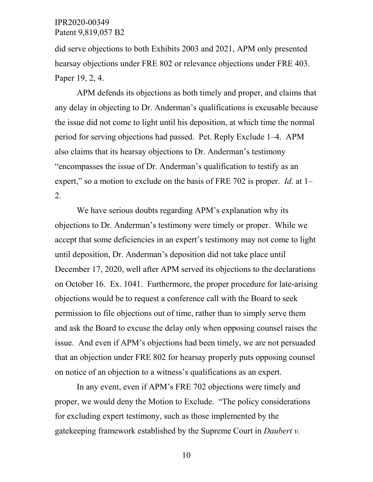did serve objections to both Exhibits 2003 and 2021, APM only presented hearsay objections under FRE 802 or relevance objections under FRE 403. Paper 19, 2, 4.

APM defends its objections as both timely and proper, and claims that any delay in objecting to Dr. Anderman's qualifications is excusable because the issue did not come to light until his deposition, at which time the normal period for serving objections had passed. Pet. Reply Exclude 1–4. APM also claims that its hearsay objections to Dr. Anderman's testimony "encompasses the issue of Dr. Anderman's qualification to testify as an expert," so a motion to exclude on the basis of FRE 702 is proper. *Id*. at 1– 2.

We have serious doubts regarding APM's explanation why its objections to Dr. Anderman's testimony were timely or proper. While we accept that some deficiencies in an expert's testimony may not come to light until deposition, Dr. Anderman's deposition did not take place until December 17, 2020, well after APM served its objections to the declarations on October 16. Ex. 1041. Furthermore, the proper procedure for late-arising objections would be to request a conference call with the Board to seek permission to file objections out of time, rather than to simply serve them and ask the Board to excuse the delay only when opposing counsel raises the issue. And even if APM's objections had been timely, we are not persuaded that an objection under FRE 802 for hearsay properly puts opposing counsel on notice of an objection to a witness's qualifications as an expert.

In any event, even if APM's FRE 702 objections were timely and proper, we would deny the Motion to Exclude. "The policy considerations for excluding expert testimony, such as those implemented by the gatekeeping framework established by the Supreme Court in *Daubert v.*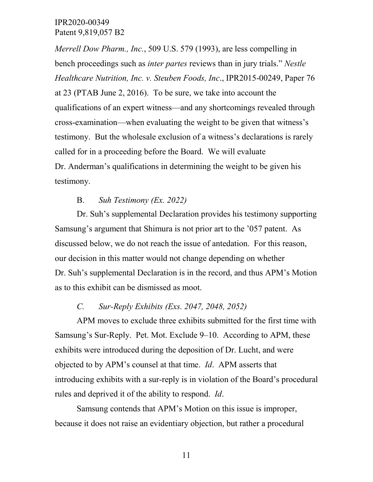*Merrell Dow Pharm., Inc.*, 509 U.S. 579 (1993), are less compelling in bench proceedings such as *inter partes* reviews than in jury trials." *Nestle Healthcare Nutrition, Inc. v. Steuben Foods, Inc*., IPR2015-00249, Paper 76 at 23 (PTAB June 2, 2016). To be sure, we take into account the qualifications of an expert witness—and any shortcomings revealed through cross-examination—when evaluating the weight to be given that witness's testimony. But the wholesale exclusion of a witness's declarations is rarely called for in a proceeding before the Board. We will evaluate Dr. Anderman's qualifications in determining the weight to be given his testimony.

#### B. *Suh Testimony (Ex. 2022)*

Dr. Suh's supplemental Declaration provides his testimony supporting Samsung's argument that Shimura is not prior art to the '057 patent. As discussed below, we do not reach the issue of antedation. For this reason, our decision in this matter would not change depending on whether Dr. Suh's supplemental Declaration is in the record, and thus APM's Motion as to this exhibit can be dismissed as moot.

#### *C. Sur-Reply Exhibits (Exs. 2047, 2048, 2052)*

APM moves to exclude three exhibits submitted for the first time with Samsung's Sur-Reply. Pet. Mot. Exclude 9–10. According to APM, these exhibits were introduced during the deposition of Dr. Lucht, and were objected to by APM's counsel at that time. *Id*. APM asserts that introducing exhibits with a sur-reply is in violation of the Board's procedural rules and deprived it of the ability to respond. *Id*.

Samsung contends that APM's Motion on this issue is improper, because it does not raise an evidentiary objection, but rather a procedural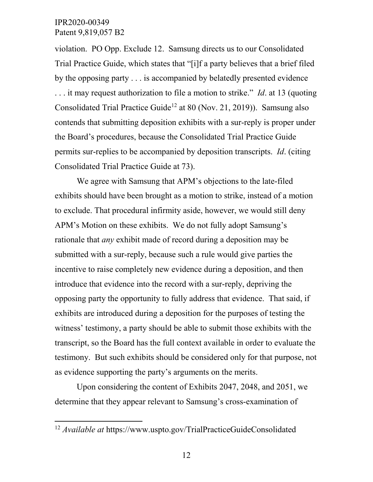violation. PO Opp. Exclude 12. Samsung directs us to our Consolidated Trial Practice Guide, which states that "[i]f a party believes that a brief filed by the opposing party . . . is accompanied by belatedly presented evidence . . . it may request authorization to file a motion to strike." *Id*. at 13 (quoting Consolidated Trial Practice Guide<sup>[12](#page-11-0)</sup> at 80 (Nov. 21, 2019)). Samsung also contends that submitting deposition exhibits with a sur-reply is proper under the Board's procedures, because the Consolidated Trial Practice Guide permits sur-replies to be accompanied by deposition transcripts. *Id*. (citing Consolidated Trial Practice Guide at 73).

We agree with Samsung that APM's objections to the late-filed exhibits should have been brought as a motion to strike, instead of a motion to exclude. That procedural infirmity aside, however, we would still deny APM's Motion on these exhibits. We do not fully adopt Samsung's rationale that *any* exhibit made of record during a deposition may be submitted with a sur-reply, because such a rule would give parties the incentive to raise completely new evidence during a deposition, and then introduce that evidence into the record with a sur-reply, depriving the opposing party the opportunity to fully address that evidence. That said, if exhibits are introduced during a deposition for the purposes of testing the witness' testimony, a party should be able to submit those exhibits with the transcript, so the Board has the full context available in order to evaluate the testimony. But such exhibits should be considered only for that purpose, not as evidence supporting the party's arguments on the merits.

Upon considering the content of Exhibits 2047, 2048, and 2051, we determine that they appear relevant to Samsung's cross-examination of

<span id="page-11-0"></span> <sup>12</sup> *Available at* https://www.uspto.gov/TrialPracticeGuideConsolidated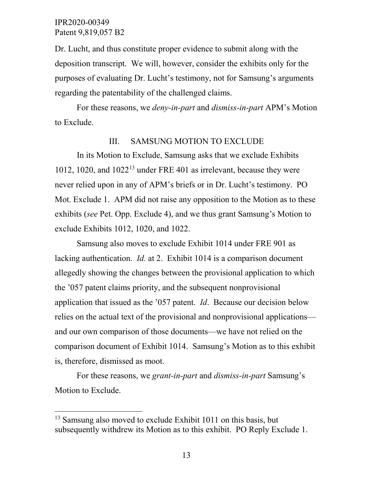Dr. Lucht, and thus constitute proper evidence to submit along with the deposition transcript. We will, however, consider the exhibits only for the purposes of evaluating Dr. Lucht's testimony, not for Samsung's arguments regarding the patentability of the challenged claims.

For these reasons, we *deny-in-part* and *dismiss-in-part* APM's Motion to Exclude.

#### III. SAMSUNG MOTION TO EXCLUDE

In its Motion to Exclude, Samsung asks that we exclude Exhibits 1012, 1020, and 1022[13](#page-12-0) under FRE 401 as irrelevant, because they were never relied upon in any of APM's briefs or in Dr. Lucht's testimony. PO Mot. Exclude 1. APM did not raise any opposition to the Motion as to these exhibits (*see* Pet. Opp. Exclude 4), and we thus grant Samsung's Motion to exclude Exhibits 1012, 1020, and 1022.

Samsung also moves to exclude Exhibit 1014 under FRE 901 as lacking authentication. *Id.* at 2. Exhibit 1014 is a comparison document allegedly showing the changes between the provisional application to which the '057 patent claims priority, and the subsequent nonprovisional application that issued as the '057 patent. *Id*. Because our decision below relies on the actual text of the provisional and nonprovisional applications and our own comparison of those documents—we have not relied on the comparison document of Exhibit 1014. Samsung's Motion as to this exhibit is, therefore, dismissed as moot.

For these reasons, we *grant-in-part* and *dismiss-in-part* Samsung's Motion to Exclude.

<span id="page-12-0"></span><sup>&</sup>lt;sup>13</sup> Samsung also moved to exclude Exhibit 1011 on this basis, but subsequently withdrew its Motion as to this exhibit. PO Reply Exclude 1.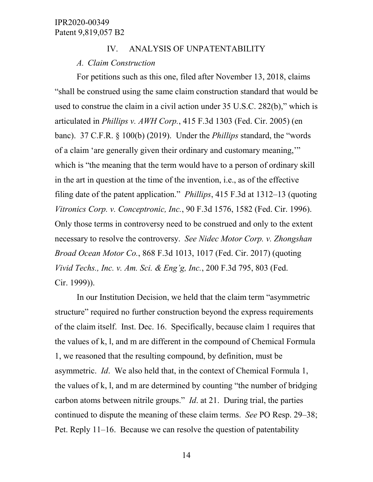#### IV. ANALYSIS OF UNPATENTABILITY

#### *A. Claim Construction*

For petitions such as this one, filed after November 13, 2018, claims "shall be construed using the same claim construction standard that would be used to construe the claim in a civil action under 35 U.S.C. 282(b)," which is articulated in *Phillips v. AWH Corp.*, 415 F.3d 1303 (Fed. Cir. 2005) (en banc). 37 C.F.R. § 100(b) (2019). Under the *Phillips* standard, the "words of a claim 'are generally given their ordinary and customary meaning,'" which is "the meaning that the term would have to a person of ordinary skill in the art in question at the time of the invention, i.e., as of the effective filing date of the patent application." *Phillips*, 415 F.3d at 1312–13 (quoting *Vitronics Corp. v. Conceptronic, Inc.*, 90 F.3d 1576, 1582 (Fed. Cir. 1996). Only those terms in controversy need to be construed and only to the extent necessary to resolve the controversy. *See Nidec Motor Corp. v. Zhongshan Broad Ocean Motor Co.*, 868 F.3d 1013, 1017 (Fed. Cir. 2017) (quoting *Vivid Techs., Inc. v. Am. Sci. & Eng'g, Inc.*, 200 F.3d 795, 803 (Fed. Cir. 1999)).

In our Institution Decision, we held that the claim term "asymmetric structure" required no further construction beyond the express requirements of the claim itself. Inst. Dec. 16. Specifically, because claim 1 requires that the values of k, l, and m are different in the compound of Chemical Formula 1, we reasoned that the resulting compound, by definition, must be asymmetric. *Id*. We also held that, in the context of Chemical Formula 1, the values of k, l, and m are determined by counting "the number of bridging carbon atoms between nitrile groups." *Id*. at 21. During trial, the parties continued to dispute the meaning of these claim terms. *See* PO Resp. 29–38; Pet. Reply 11–16. Because we can resolve the question of patentability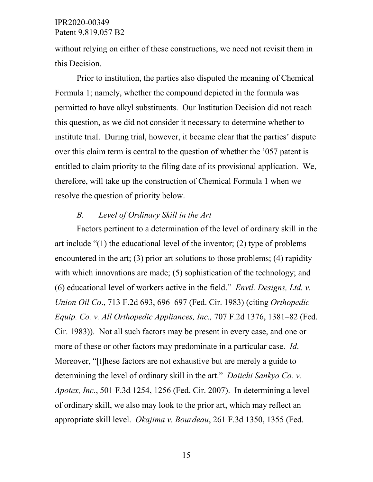without relying on either of these constructions, we need not revisit them in this Decision.

Prior to institution, the parties also disputed the meaning of Chemical Formula 1; namely, whether the compound depicted in the formula was permitted to have alkyl substituents. Our Institution Decision did not reach this question, as we did not consider it necessary to determine whether to institute trial. During trial, however, it became clear that the parties' dispute over this claim term is central to the question of whether the '057 patent is entitled to claim priority to the filing date of its provisional application. We, therefore, will take up the construction of Chemical Formula 1 when we resolve the question of priority below.

## *B. Level of Ordinary Skill in the Art*

Factors pertinent to a determination of the level of ordinary skill in the art include "(1) the educational level of the inventor; (2) type of problems encountered in the art; (3) prior art solutions to those problems; (4) rapidity with which innovations are made; (5) sophistication of the technology; and (6) educational level of workers active in the field." *Envtl. Designs, Ltd. v. Union Oil Co*., 713 F.2d 693, 696–697 (Fed. Cir. 1983) (citing *Orthopedic Equip. Co. v. All Orthopedic Appliances, Inc.,* 707 F.2d 1376, 1381–82 (Fed. Cir. 1983)). Not all such factors may be present in every case, and one or more of these or other factors may predominate in a particular case. *Id*. Moreover, "[t]hese factors are not exhaustive but are merely a guide to determining the level of ordinary skill in the art." *Daiichi Sankyo Co. v. Apotex, Inc*., 501 F.3d 1254, 1256 (Fed. Cir. 2007). In determining a level of ordinary skill, we also may look to the prior art, which may reflect an appropriate skill level. *Okajima v. Bourdeau*, 261 F.3d 1350, 1355 (Fed.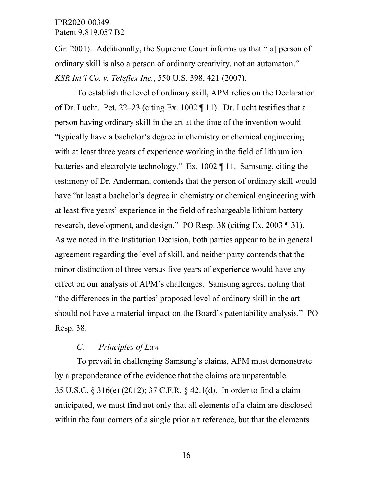Cir. 2001). Additionally, the Supreme Court informs us that "[a] person of ordinary skill is also a person of ordinary creativity, not an automaton." *KSR Int'l Co. v. Teleflex Inc.*, 550 U.S. 398, 421 (2007).

To establish the level of ordinary skill, APM relies on the Declaration of Dr. Lucht. Pet. 22–23 (citing Ex. 1002  $\P$  11). Dr. Lucht testifies that a person having ordinary skill in the art at the time of the invention would "typically have a bachelor's degree in chemistry or chemical engineering with at least three years of experience working in the field of lithium ion batteries and electrolyte technology." Ex. 1002 ¶ 11. Samsung, citing the testimony of Dr. Anderman, contends that the person of ordinary skill would have "at least a bachelor's degree in chemistry or chemical engineering with at least five years' experience in the field of rechargeable lithium battery research, development, and design." PO Resp. 38 (citing Ex. 2003 ¶ 31). As we noted in the Institution Decision, both parties appear to be in general agreement regarding the level of skill, and neither party contends that the minor distinction of three versus five years of experience would have any effect on our analysis of APM's challenges. Samsung agrees, noting that "the differences in the parties' proposed level of ordinary skill in the art should not have a material impact on the Board's patentability analysis." PO Resp. 38.

# *C. Principles of Law*

To prevail in challenging Samsung's claims, APM must demonstrate by a preponderance of the evidence that the claims are unpatentable. 35 U.S.C. § 316(e) (2012); 37 C.F.R. § 42.1(d). In order to find a claim anticipated, we must find not only that all elements of a claim are disclosed within the four corners of a single prior art reference, but that the elements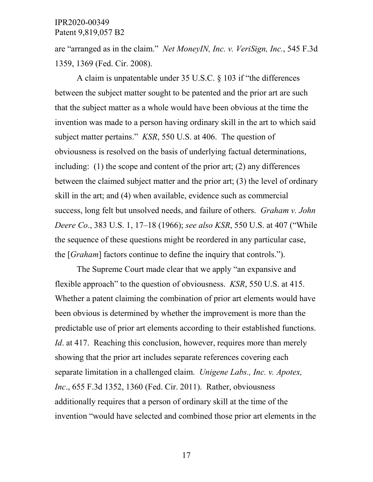are "arranged as in the claim." *Net MoneyIN, Inc. v. VeriSign, Inc.*, 545 F.3d 1359, 1369 (Fed. Cir. 2008).

A claim is unpatentable under 35 U.S.C. § 103 if "the differences between the subject matter sought to be patented and the prior art are such that the subject matter as a whole would have been obvious at the time the invention was made to a person having ordinary skill in the art to which said subject matter pertains." *KSR*, 550 U.S. at 406. The question of obviousness is resolved on the basis of underlying factual determinations, including: (1) the scope and content of the prior art; (2) any differences between the claimed subject matter and the prior art; (3) the level of ordinary skill in the art; and (4) when available, evidence such as commercial success, long felt but unsolved needs, and failure of others. *Graham v. John Deere Co*., 383 U.S. 1, 17–18 (1966); *see also KSR*, 550 U.S. at 407 ("While the sequence of these questions might be reordered in any particular case, the [*Graham*] factors continue to define the inquiry that controls.").

The Supreme Court made clear that we apply "an expansive and flexible approach" to the question of obviousness. *KSR*, 550 U.S. at 415. Whether a patent claiming the combination of prior art elements would have been obvious is determined by whether the improvement is more than the predictable use of prior art elements according to their established functions. *Id.* at 417. Reaching this conclusion, however, requires more than merely showing that the prior art includes separate references covering each separate limitation in a challenged claim. *Unigene Labs., Inc. v. Apotex, Inc*., 655 F.3d 1352, 1360 (Fed. Cir. 2011). Rather, obviousness additionally requires that a person of ordinary skill at the time of the invention "would have selected and combined those prior art elements in the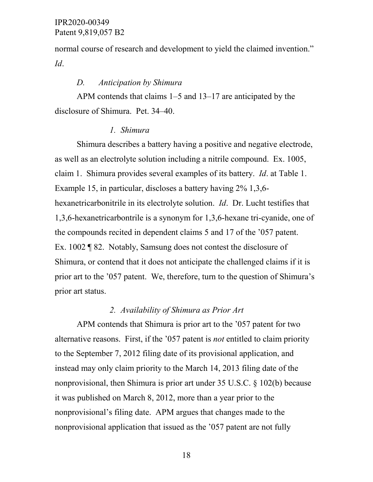normal course of research and development to yield the claimed invention." *Id*.

#### *D. Anticipation by Shimura*

APM contends that claims 1–5 and 13–17 are anticipated by the disclosure of Shimura. Pet. 34–40.

#### *1. Shimura*

Shimura describes a battery having a positive and negative electrode, as well as an electrolyte solution including a nitrile compound. Ex. 1005, claim 1. Shimura provides several examples of its battery. *Id*. at Table 1. Example 15, in particular, discloses a battery having 2% 1,3,6 hexanetricarbonitrile in its electrolyte solution. *Id*. Dr. Lucht testifies that 1,3,6-hexanetricarbontrile is a synonym for 1,3,6-hexane tri-cyanide, one of the compounds recited in dependent claims 5 and 17 of the '057 patent. Ex. 1002 ¶ 82. Notably, Samsung does not contest the disclosure of Shimura, or contend that it does not anticipate the challenged claims if it is prior art to the '057 patent. We, therefore, turn to the question of Shimura's prior art status.

#### *2. Availability of Shimura as Prior Art*

APM contends that Shimura is prior art to the '057 patent for two alternative reasons. First, if the '057 patent is *not* entitled to claim priority to the September 7, 2012 filing date of its provisional application, and instead may only claim priority to the March 14, 2013 filing date of the nonprovisional, then Shimura is prior art under 35 U.S.C. § 102(b) because it was published on March 8, 2012, more than a year prior to the nonprovisional's filing date. APM argues that changes made to the nonprovisional application that issued as the '057 patent are not fully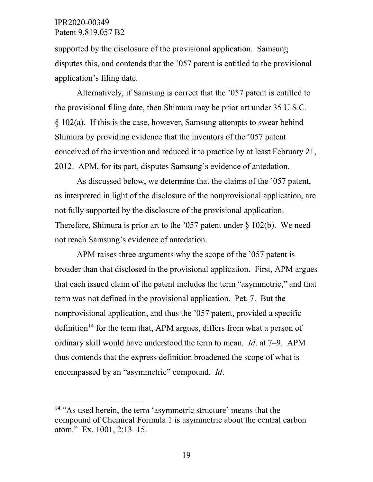supported by the disclosure of the provisional application. Samsung disputes this, and contends that the '057 patent is entitled to the provisional application's filing date.

Alternatively, if Samsung is correct that the '057 patent is entitled to the provisional filing date, then Shimura may be prior art under 35 U.S.C. § 102(a). If this is the case, however, Samsung attempts to swear behind Shimura by providing evidence that the inventors of the '057 patent conceived of the invention and reduced it to practice by at least February 21, 2012. APM, for its part, disputes Samsung's evidence of antedation.

As discussed below, we determine that the claims of the '057 patent, as interpreted in light of the disclosure of the nonprovisional application, are not fully supported by the disclosure of the provisional application. Therefore, Shimura is prior art to the '057 patent under  $\S$  102(b). We need not reach Samsung's evidence of antedation.

APM raises three arguments why the scope of the '057 patent is broader than that disclosed in the provisional application. First, APM argues that each issued claim of the patent includes the term "asymmetric," and that term was not defined in the provisional application. Pet. 7. But the nonprovisional application, and thus the '057 patent, provided a specific definition<sup>[14](#page-18-0)</sup> for the term that, APM argues, differs from what a person of ordinary skill would have understood the term to mean. *Id*. at 7–9. APM thus contends that the express definition broadened the scope of what is encompassed by an "asymmetric" compound. *Id*.

<span id="page-18-0"></span> <sup>14</sup> "As used herein, the term 'asymmetric structure' means that the compound of Chemical Formula 1 is asymmetric about the central carbon atom." Ex. 1001, 2:13–15.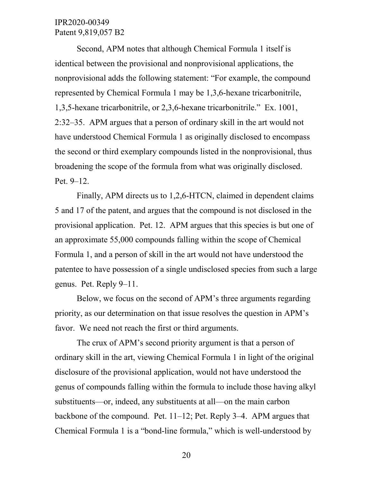Second, APM notes that although Chemical Formula 1 itself is identical between the provisional and nonprovisional applications, the nonprovisional adds the following statement: "For example, the compound represented by Chemical Formula 1 may be 1,3,6-hexane tricarbonitrile, 1,3,5-hexane tricarbonitrile, or 2,3,6-hexane tricarbonitrile." Ex. 1001, 2:32–35. APM argues that a person of ordinary skill in the art would not have understood Chemical Formula 1 as originally disclosed to encompass the second or third exemplary compounds listed in the nonprovisional, thus broadening the scope of the formula from what was originally disclosed. Pet. 9–12.

Finally, APM directs us to 1,2,6-HTCN, claimed in dependent claims 5 and 17 of the patent, and argues that the compound is not disclosed in the provisional application. Pet. 12. APM argues that this species is but one of an approximate 55,000 compounds falling within the scope of Chemical Formula 1, and a person of skill in the art would not have understood the patentee to have possession of a single undisclosed species from such a large genus. Pet. Reply 9–11.

Below, we focus on the second of APM's three arguments regarding priority, as our determination on that issue resolves the question in APM's favor. We need not reach the first or third arguments.

The crux of APM's second priority argument is that a person of ordinary skill in the art, viewing Chemical Formula 1 in light of the original disclosure of the provisional application, would not have understood the genus of compounds falling within the formula to include those having alkyl substituents—or, indeed, any substituents at all—on the main carbon backbone of the compound. Pet. 11–12; Pet. Reply 3–4. APM argues that Chemical Formula 1 is a "bond-line formula," which is well-understood by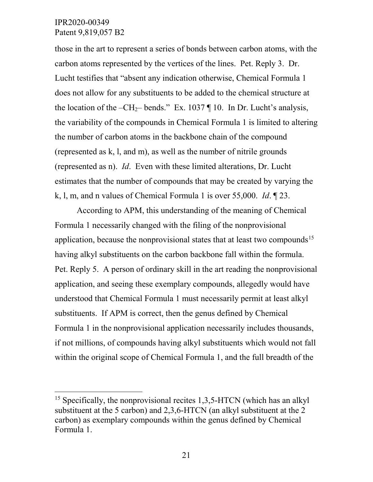those in the art to represent a series of bonds between carbon atoms, with the carbon atoms represented by the vertices of the lines. Pet. Reply 3. Dr. Lucht testifies that "absent any indication otherwise, Chemical Formula 1 does not allow for any substituents to be added to the chemical structure at the location of the –CH<sub>2</sub>– bends." Ex. 1037 ¶ 10. In Dr. Lucht's analysis, the variability of the compounds in Chemical Formula 1 is limited to altering the number of carbon atoms in the backbone chain of the compound (represented as k, l, and m), as well as the number of nitrile grounds (represented as n). *Id*. Even with these limited alterations, Dr. Lucht estimates that the number of compounds that may be created by varying the k, l, m, and n values of Chemical Formula 1 is over 55,000. *Id*. ¶ 23.

According to APM, this understanding of the meaning of Chemical Formula 1 necessarily changed with the filing of the nonprovisional application, because the nonprovisional states that at least two compounds<sup>[15](#page-20-0)</sup> having alkyl substituents on the carbon backbone fall within the formula. Pet. Reply 5. A person of ordinary skill in the art reading the nonprovisional application, and seeing these exemplary compounds, allegedly would have understood that Chemical Formula 1 must necessarily permit at least alkyl substituents. If APM is correct, then the genus defined by Chemical Formula 1 in the nonprovisional application necessarily includes thousands, if not millions, of compounds having alkyl substituents which would not fall within the original scope of Chemical Formula 1, and the full breadth of the

<span id="page-20-0"></span><sup>&</sup>lt;sup>15</sup> Specifically, the nonprovisional recites  $1,3,5$ -HTCN (which has an alkyl) substituent at the 5 carbon) and 2,3,6-HTCN (an alkyl substituent at the 2 carbon) as exemplary compounds within the genus defined by Chemical Formula 1.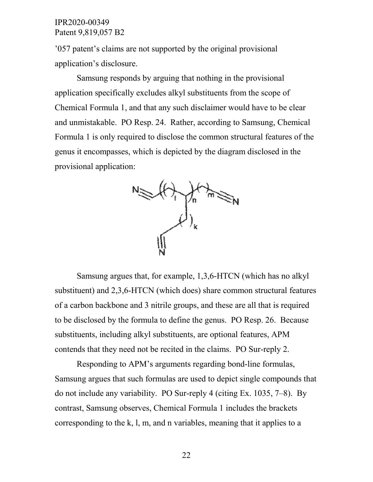'057 patent's claims are not supported by the original provisional application's disclosure.

Samsung responds by arguing that nothing in the provisional application specifically excludes alkyl substituents from the scope of Chemical Formula 1, and that any such disclaimer would have to be clear and unmistakable. PO Resp. 24. Rather, according to Samsung, Chemical Formula 1 is only required to disclose the common structural features of the genus it encompasses, which is depicted by the diagram disclosed in the provisional application:



Samsung argues that, for example, 1,3,6-HTCN (which has no alkyl substituent) and 2,3,6-HTCN (which does) share common structural features of a carbon backbone and 3 nitrile groups, and these are all that is required to be disclosed by the formula to define the genus. PO Resp. 26. Because substituents, including alkyl substituents, are optional features, APM contends that they need not be recited in the claims. PO Sur-reply 2.

Responding to APM's arguments regarding bond-line formulas, Samsung argues that such formulas are used to depict single compounds that do not include any variability. PO Sur-reply 4 (citing Ex. 1035, 7–8). By contrast, Samsung observes, Chemical Formula 1 includes the brackets corresponding to the k, l, m, and n variables, meaning that it applies to a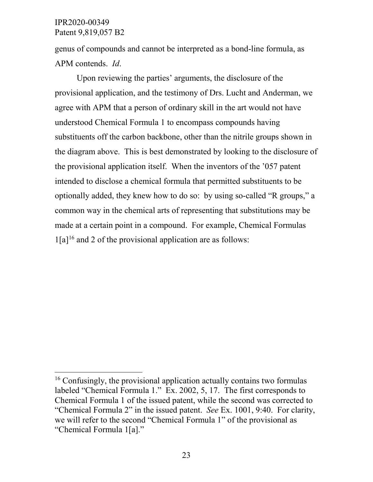genus of compounds and cannot be interpreted as a bond-line formula, as APM contends. *Id*.

Upon reviewing the parties' arguments, the disclosure of the provisional application, and the testimony of Drs. Lucht and Anderman, we agree with APM that a person of ordinary skill in the art would not have understood Chemical Formula 1 to encompass compounds having substituents off the carbon backbone, other than the nitrile groups shown in the diagram above. This is best demonstrated by looking to the disclosure of the provisional application itself. When the inventors of the '057 patent intended to disclose a chemical formula that permitted substituents to be optionally added, they knew how to do so: by using so-called "R groups," a common way in the chemical arts of representing that substitutions may be made at a certain point in a compound. For example, Chemical Formulas  $1[a]$ <sup>[16](#page-22-0)</sup> and 2 of the provisional application are as follows:

<span id="page-22-0"></span><sup>&</sup>lt;sup>16</sup> Confusingly, the provisional application actually contains two formulas labeled "Chemical Formula 1." Ex. 2002, 5, 17. The first corresponds to Chemical Formula 1 of the issued patent, while the second was corrected to "Chemical Formula 2" in the issued patent. *See* Ex. 1001, 9:40. For clarity, we will refer to the second "Chemical Formula 1" of the provisional as "Chemical Formula 1[a]."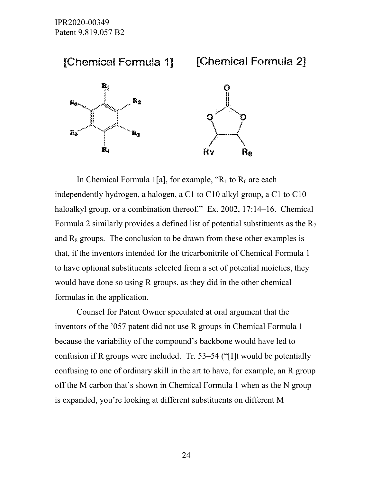

In Chemical Formula 1[a], for example, " $R_1$  to  $R_6$  are each independently hydrogen, a halogen, a C1 to C10 alkyl group, a C1 to C10 haloalkyl group, or a combination thereof." Ex. 2002, 17:14–16. Chemical Formula 2 similarly provides a defined list of potential substituents as the  $R_7$ and  $R_8$  groups. The conclusion to be drawn from these other examples is that, if the inventors intended for the tricarbonitrile of Chemical Formula 1 to have optional substituents selected from a set of potential moieties, they would have done so using R groups, as they did in the other chemical formulas in the application.

Counsel for Patent Owner speculated at oral argument that the inventors of the '057 patent did not use R groups in Chemical Formula 1 because the variability of the compound's backbone would have led to confusion if R groups were included. Tr. 53–54 ("[I]t would be potentially confusing to one of ordinary skill in the art to have, for example, an R group off the M carbon that's shown in Chemical Formula 1 when as the N group is expanded, you're looking at different substituents on different M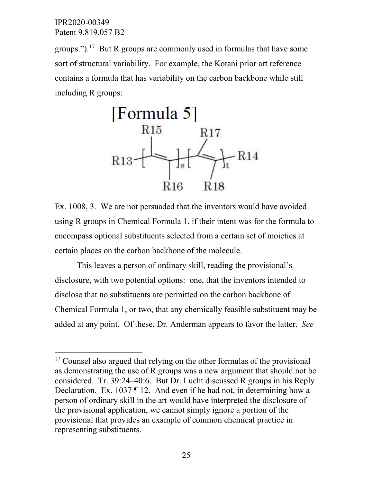groups.").<sup>17</sup> But R groups are commonly used in formulas that have some sort of structural variability. For example, the Kotani prior art reference contains a formula that has variability on the carbon backbone while still including R groups:



Ex. 1008, 3. We are not persuaded that the inventors would have avoided using R groups in Chemical Formula 1, if their intent was for the formula to encompass optional substituents selected from a certain set of moieties at certain places on the carbon backbone of the molecule.

This leaves a person of ordinary skill, reading the provisional's disclosure, with two potential options: one, that the inventors intended to disclose that no substituents are permitted on the carbon backbone of Chemical Formula 1, or two, that any chemically feasible substituent may be added at any point. Of these, Dr. Anderman appears to favor the latter. *See* 

<span id="page-24-0"></span><sup>&</sup>lt;sup>17</sup> Counsel also argued that relying on the other formulas of the provisional as demonstrating the use of R groups was a new argument that should not be considered. Tr. 39:24–40:6. But Dr. Lucht discussed R groups in his Reply Declaration. Ex. 1037 ¶ 12. And even if he had not, in determining how a person of ordinary skill in the art would have interpreted the disclosure of the provisional application, we cannot simply ignore a portion of the provisional that provides an example of common chemical practice in representing substituents.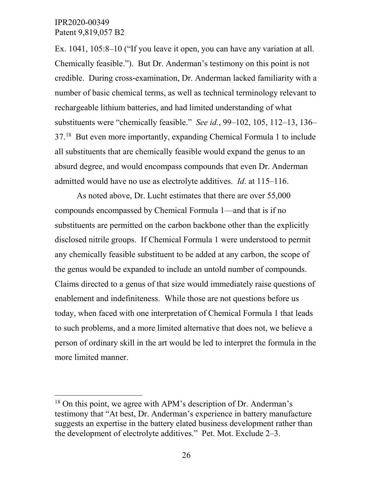Ex. 1041, 105:8–10 ("If you leave it open, you can have any variation at all. Chemically feasible."). But Dr. Anderman's testimony on this point is not credible. During cross-examination, Dr. Anderman lacked familiarity with a number of basic chemical terms, as well as technical terminology relevant to rechargeable lithium batteries, and had limited understanding of what substituents were "chemically feasible." *See id.*, 99–102, 105, 112–13, 136– 37.[18](#page-25-0) But even more importantly, expanding Chemical Formula 1 to include all substituents that are chemically feasible would expand the genus to an absurd degree, and would encompass compounds that even Dr. Anderman admitted would have no use as electrolyte additives. *Id*. at 115–116.

As noted above, Dr. Lucht estimates that there are over 55,000 compounds encompassed by Chemical Formula 1—and that is if no substituents are permitted on the carbon backbone other than the explicitly disclosed nitrile groups. If Chemical Formula 1 were understood to permit any chemically feasible substituent to be added at any carbon, the scope of the genus would be expanded to include an untold number of compounds. Claims directed to a genus of that size would immediately raise questions of enablement and indefiniteness. While those are not questions before us today, when faced with one interpretation of Chemical Formula 1 that leads to such problems, and a more limited alternative that does not, we believe a person of ordinary skill in the art would be led to interpret the formula in the more limited manner.

<span id="page-25-0"></span><sup>&</sup>lt;sup>18</sup> On this point, we agree with APM's description of Dr. Anderman's testimony that "At best, Dr. Anderman's experience in battery manufacture suggests an expertise in the battery elated business development rather than the development of electrolyte additives." Pet. Mot. Exclude 2–3.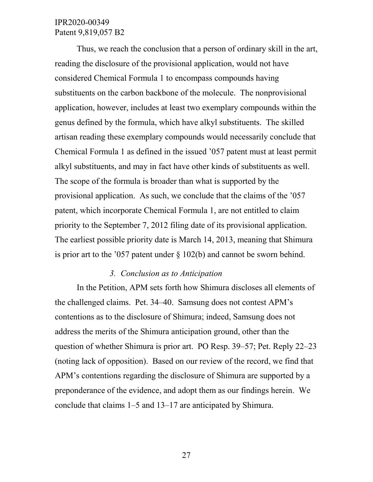Thus, we reach the conclusion that a person of ordinary skill in the art, reading the disclosure of the provisional application, would not have considered Chemical Formula 1 to encompass compounds having substituents on the carbon backbone of the molecule. The nonprovisional application, however, includes at least two exemplary compounds within the genus defined by the formula, which have alkyl substituents. The skilled artisan reading these exemplary compounds would necessarily conclude that Chemical Formula 1 as defined in the issued '057 patent must at least permit alkyl substituents, and may in fact have other kinds of substituents as well. The scope of the formula is broader than what is supported by the provisional application. As such, we conclude that the claims of the '057 patent, which incorporate Chemical Formula 1, are not entitled to claim priority to the September 7, 2012 filing date of its provisional application. The earliest possible priority date is March 14, 2013, meaning that Shimura is prior art to the '057 patent under  $\S$  102(b) and cannot be sworn behind.

#### *3. Conclusion as to Anticipation*

In the Petition, APM sets forth how Shimura discloses all elements of the challenged claims. Pet. 34–40. Samsung does not contest APM's contentions as to the disclosure of Shimura; indeed, Samsung does not address the merits of the Shimura anticipation ground, other than the question of whether Shimura is prior art. PO Resp. 39–57; Pet. Reply 22–23 (noting lack of opposition). Based on our review of the record, we find that APM's contentions regarding the disclosure of Shimura are supported by a preponderance of the evidence, and adopt them as our findings herein. We conclude that claims 1–5 and 13–17 are anticipated by Shimura.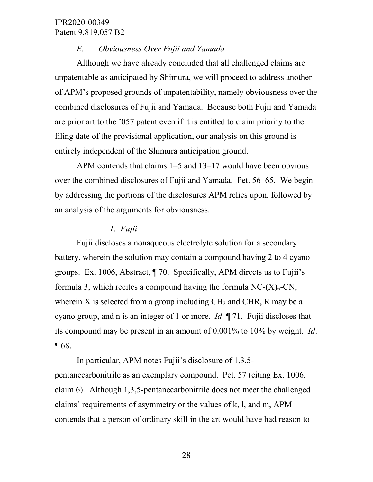#### *E. Obviousness Over Fujii and Yamada*

Although we have already concluded that all challenged claims are unpatentable as anticipated by Shimura, we will proceed to address another of APM's proposed grounds of unpatentability, namely obviousness over the combined disclosures of Fujii and Yamada. Because both Fujii and Yamada are prior art to the '057 patent even if it is entitled to claim priority to the filing date of the provisional application, our analysis on this ground is entirely independent of the Shimura anticipation ground.

APM contends that claims 1–5 and 13–17 would have been obvious over the combined disclosures of Fujii and Yamada. Pet. 56–65. We begin by addressing the portions of the disclosures APM relies upon, followed by an analysis of the arguments for obviousness.

#### *1. Fujii*

Fujii discloses a nonaqueous electrolyte solution for a secondary battery, wherein the solution may contain a compound having 2 to 4 cyano groups. Ex. 1006, Abstract, ¶ 70. Specifically, APM directs us to Fujii's formula 3, which recites a compound having the formula  $NC-(X)<sub>n</sub>-CN$ , wherein X is selected from a group including  $CH<sub>2</sub>$  and CHR, R may be a cyano group, and n is an integer of 1 or more. *Id*. ¶ 71. Fujii discloses that its compound may be present in an amount of 0.001% to 10% by weight. *Id*.  $\P 68.$ 

In particular, APM notes Fujii's disclosure of 1,3,5 pentanecarbonitrile as an exemplary compound. Pet. 57 (citing Ex. 1006, claim 6). Although 1,3,5-pentanecarbonitrile does not meet the challenged claims' requirements of asymmetry or the values of k, l, and m, APM contends that a person of ordinary skill in the art would have had reason to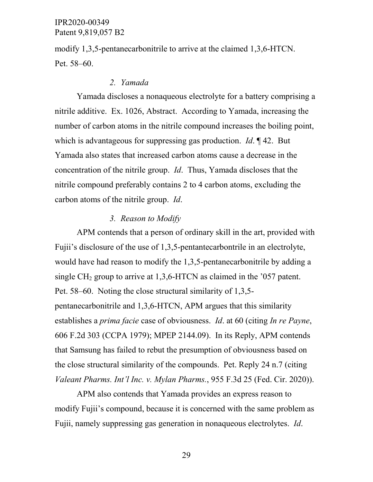modify 1,3,5-pentanecarbonitrile to arrive at the claimed 1,3,6-HTCN. Pet. 58–60.

#### *2. Yamada*

Yamada discloses a nonaqueous electrolyte for a battery comprising a nitrile additive. Ex. 1026, Abstract. According to Yamada, increasing the number of carbon atoms in the nitrile compound increases the boiling point, which is advantageous for suppressing gas production. *Id*. ¶ 42. But Yamada also states that increased carbon atoms cause a decrease in the concentration of the nitrile group. *Id*. Thus, Yamada discloses that the nitrile compound preferably contains 2 to 4 carbon atoms, excluding the carbon atoms of the nitrile group. *Id*.

#### *3. Reason to Modify*

APM contends that a person of ordinary skill in the art, provided with Fujii's disclosure of the use of 1,3,5-pentantecarbontrile in an electrolyte, would have had reason to modify the 1,3,5-pentanecarbonitrile by adding a single CH<sub>2</sub> group to arrive at  $1,3,6$ -HTCN as claimed in the '057 patent. Pet. 58–60. Noting the close structural similarity of 1,3,5 pentanecarbonitrile and 1,3,6-HTCN, APM argues that this similarity establishes a *prima facie* case of obviousness. *Id*. at 60 (citing *In re Payne*, 606 F.2d 303 (CCPA 1979); MPEP 2144.09). In its Reply, APM contends that Samsung has failed to rebut the presumption of obviousness based on the close structural similarity of the compounds. Pet. Reply 24 n.7 (citing *Valeant Pharms. Int'l Inc. v. Mylan Pharms.*, 955 F.3d 25 (Fed. Cir. 2020)).

APM also contends that Yamada provides an express reason to modify Fujii's compound, because it is concerned with the same problem as Fujii, namely suppressing gas generation in nonaqueous electrolytes. *Id*.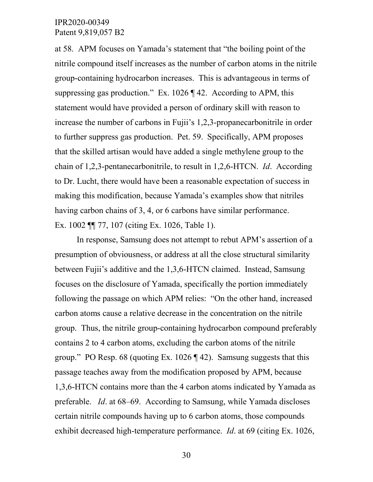at 58. APM focuses on Yamada's statement that "the boiling point of the nitrile compound itself increases as the number of carbon atoms in the nitrile group-containing hydrocarbon increases. This is advantageous in terms of suppressing gas production." Ex. 1026 ¶ 42. According to APM, this statement would have provided a person of ordinary skill with reason to increase the number of carbons in Fujii's 1,2,3-propanecarbonitrile in order to further suppress gas production. Pet. 59. Specifically, APM proposes that the skilled artisan would have added a single methylene group to the chain of 1,2,3-pentanecarbonitrile, to result in 1,2,6-HTCN. *Id*. According to Dr. Lucht, there would have been a reasonable expectation of success in making this modification, because Yamada's examples show that nitriles having carbon chains of 3, 4, or 6 carbons have similar performance. Ex. 1002 ¶¶ 77, 107 (citing Ex. 1026, Table 1).

In response, Samsung does not attempt to rebut APM's assertion of a presumption of obviousness, or address at all the close structural similarity between Fujii's additive and the 1,3,6-HTCN claimed. Instead, Samsung focuses on the disclosure of Yamada, specifically the portion immediately following the passage on which APM relies: "On the other hand, increased carbon atoms cause a relative decrease in the concentration on the nitrile group. Thus, the nitrile group-containing hydrocarbon compound preferably contains 2 to 4 carbon atoms, excluding the carbon atoms of the nitrile group." PO Resp. 68 (quoting Ex.  $1026 \text{ T}$  42). Samsung suggests that this passage teaches away from the modification proposed by APM, because 1,3,6-HTCN contains more than the 4 carbon atoms indicated by Yamada as preferable. *Id*. at 68–69. According to Samsung, while Yamada discloses certain nitrile compounds having up to 6 carbon atoms, those compounds exhibit decreased high-temperature performance. *Id*. at 69 (citing Ex. 1026,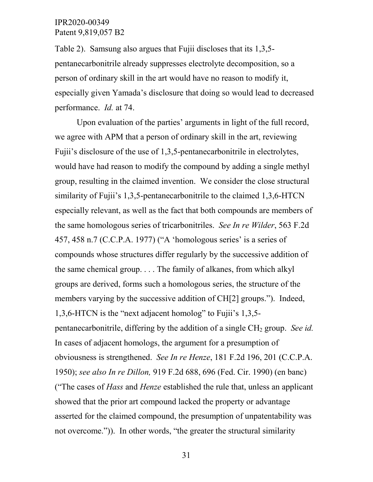Table 2). Samsung also argues that Fujii discloses that its 1,3,5 pentanecarbonitrile already suppresses electrolyte decomposition, so a person of ordinary skill in the art would have no reason to modify it, especially given Yamada's disclosure that doing so would lead to decreased performance. *Id.* at 74.

Upon evaluation of the parties' arguments in light of the full record, we agree with APM that a person of ordinary skill in the art, reviewing Fujii's disclosure of the use of 1,3,5-pentanecarbonitrile in electrolytes, would have had reason to modify the compound by adding a single methyl group, resulting in the claimed invention. We consider the close structural similarity of Fujii's 1,3,5-pentanecarbonitrile to the claimed 1,3,6-HTCN especially relevant, as well as the fact that both compounds are members of the same homologous series of tricarbonitriles. *See In re Wilder*, 563 F.2d 457, 458 n.7 (C.C.P.A. 1977) ("A 'homologous series' is a series of compounds whose structures differ regularly by the successive addition of the same chemical group. . . . The family of alkanes, from which alkyl groups are derived, forms such a homologous series, the structure of the members varying by the successive addition of CH[2] groups."). Indeed, 1,3,6-HTCN is the "next adjacent homolog" to Fujii's 1,3,5 pentanecarbonitrile, differing by the addition of a single CH2 group. *See id.* In cases of adjacent homologs, the argument for a presumption of obviousness is strengthened. *See In re Henze*, 181 F.2d 196, 201 (C.C.P.A. 1950); *see also In re Dillon,* 919 F.2d 688, 696 (Fed. Cir. 1990) (en banc) ("The cases of *Hass* and *Henze* established the rule that, unless an applicant showed that the prior art compound lacked the property or advantage asserted for the claimed compound, the presumption of unpatentability was not overcome.")). In other words, "the greater the structural similarity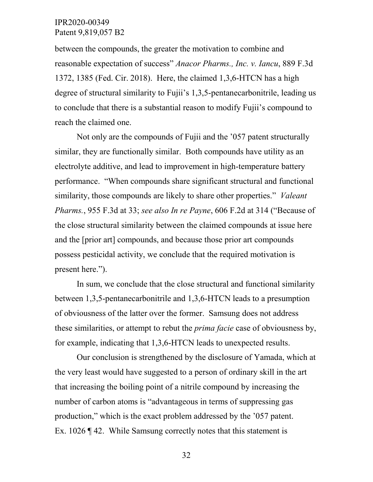between the compounds, the greater the motivation to combine and reasonable expectation of success" *Anacor Pharms., Inc. v. Iancu*, 889 F.3d 1372, 1385 (Fed. Cir. 2018). Here, the claimed 1,3,6-HTCN has a high degree of structural similarity to Fujii's 1,3,5-pentanecarbonitrile, leading us to conclude that there is a substantial reason to modify Fujii's compound to reach the claimed one.

Not only are the compounds of Fujii and the '057 patent structurally similar, they are functionally similar. Both compounds have utility as an electrolyte additive, and lead to improvement in high-temperature battery performance. "When compounds share significant structural and functional similarity, those compounds are likely to share other properties." *Valeant Pharms.*, 955 F.3d at 33; *see also In re Payne*, 606 F.2d at 314 ("Because of the close structural similarity between the claimed compounds at issue here and the [prior art] compounds, and because those prior art compounds possess pesticidal activity, we conclude that the required motivation is present here.").

In sum, we conclude that the close structural and functional similarity between 1,3,5-pentanecarbonitrile and 1,3,6-HTCN leads to a presumption of obviousness of the latter over the former. Samsung does not address these similarities, or attempt to rebut the *prima facie* case of obviousness by, for example, indicating that 1,3,6-HTCN leads to unexpected results.

Our conclusion is strengthened by the disclosure of Yamada, which at the very least would have suggested to a person of ordinary skill in the art that increasing the boiling point of a nitrile compound by increasing the number of carbon atoms is "advantageous in terms of suppressing gas production," which is the exact problem addressed by the '057 patent. Ex. 1026 ¶ 42. While Samsung correctly notes that this statement is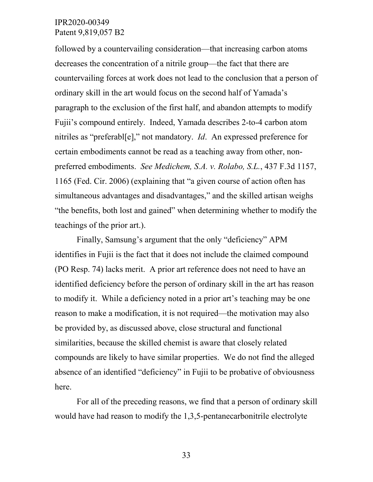followed by a countervailing consideration—that increasing carbon atoms decreases the concentration of a nitrile group—the fact that there are countervailing forces at work does not lead to the conclusion that a person of ordinary skill in the art would focus on the second half of Yamada's paragraph to the exclusion of the first half, and abandon attempts to modify Fujii's compound entirely. Indeed, Yamada describes 2-to-4 carbon atom nitriles as "preferabl[e]," not mandatory. *Id*. An expressed preference for certain embodiments cannot be read as a teaching away from other, nonpreferred embodiments. *See Medichem, S.A. v. Rolabo, S.L.*, 437 F.3d 1157, 1165 (Fed. Cir. 2006) (explaining that "a given course of action often has simultaneous advantages and disadvantages," and the skilled artisan weighs "the benefits, both lost and gained" when determining whether to modify the teachings of the prior art.).

Finally, Samsung's argument that the only "deficiency" APM identifies in Fujii is the fact that it does not include the claimed compound (PO Resp. 74) lacks merit. A prior art reference does not need to have an identified deficiency before the person of ordinary skill in the art has reason to modify it. While a deficiency noted in a prior art's teaching may be one reason to make a modification, it is not required—the motivation may also be provided by, as discussed above, close structural and functional similarities, because the skilled chemist is aware that closely related compounds are likely to have similar properties. We do not find the alleged absence of an identified "deficiency" in Fujii to be probative of obviousness here.

For all of the preceding reasons, we find that a person of ordinary skill would have had reason to modify the 1,3,5-pentanecarbonitrile electrolyte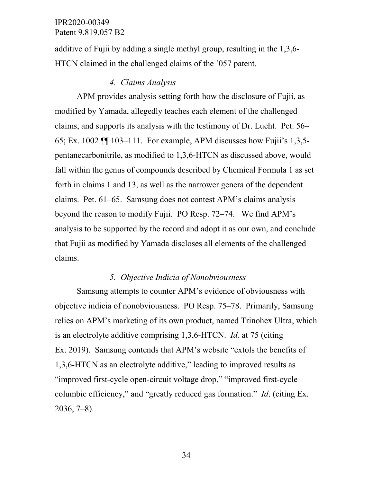additive of Fujii by adding a single methyl group, resulting in the 1,3,6- HTCN claimed in the challenged claims of the '057 patent.

#### *4. Claims Analysis*

APM provides analysis setting forth how the disclosure of Fujii, as modified by Yamada, allegedly teaches each element of the challenged claims, and supports its analysis with the testimony of Dr. Lucht. Pet. 56– 65; Ex. 1002 ¶¶ 103–111. For example, APM discusses how Fujii's 1,3,5 pentanecarbonitrile, as modified to 1,3,6-HTCN as discussed above, would fall within the genus of compounds described by Chemical Formula 1 as set forth in claims 1 and 13, as well as the narrower genera of the dependent claims. Pet. 61–65. Samsung does not contest APM's claims analysis beyond the reason to modify Fujii. PO Resp. 72–74. We find APM's analysis to be supported by the record and adopt it as our own, and conclude that Fujii as modified by Yamada discloses all elements of the challenged claims.

#### *5. Objective Indicia of Nonobviousness*

Samsung attempts to counter APM's evidence of obviousness with objective indicia of nonobviousness. PO Resp. 75–78. Primarily, Samsung relies on APM's marketing of its own product, named Trinohex Ultra, which is an electrolyte additive comprising 1,3,6-HTCN. *Id.* at 75 (citing Ex. 2019). Samsung contends that APM's website "extols the benefits of 1,3,6-HTCN as an electrolyte additive," leading to improved results as "improved first-cycle open-circuit voltage drop," "improved first-cycle columbic efficiency," and "greatly reduced gas formation." *Id*. (citing Ex. 2036, 7–8).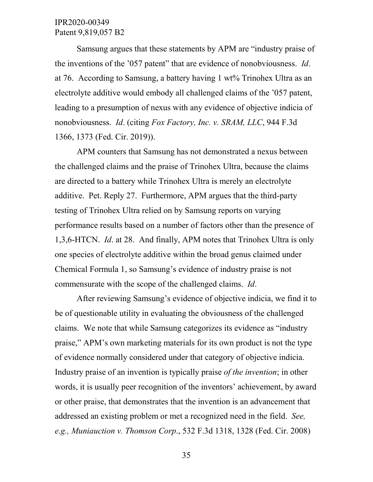Samsung argues that these statements by APM are "industry praise of the inventions of the '057 patent" that are evidence of nonobviousness. *Id*. at 76. According to Samsung, a battery having 1 wt% Trinohex Ultra as an electrolyte additive would embody all challenged claims of the '057 patent, leading to a presumption of nexus with any evidence of objective indicia of nonobviousness. *Id*. (citing *Fox Factory, Inc. v. SRAM, LLC*, 944 F.3d 1366, 1373 (Fed. Cir. 2019)).

APM counters that Samsung has not demonstrated a nexus between the challenged claims and the praise of Trinohex Ultra, because the claims are directed to a battery while Trinohex Ultra is merely an electrolyte additive. Pet. Reply 27. Furthermore, APM argues that the third-party testing of Trinohex Ultra relied on by Samsung reports on varying performance results based on a number of factors other than the presence of 1,3,6-HTCN. *Id*. at 28. And finally, APM notes that Trinohex Ultra is only one species of electrolyte additive within the broad genus claimed under Chemical Formula 1, so Samsung's evidence of industry praise is not commensurate with the scope of the challenged claims. *Id*.

After reviewing Samsung's evidence of objective indicia, we find it to be of questionable utility in evaluating the obviousness of the challenged claims. We note that while Samsung categorizes its evidence as "industry praise," APM's own marketing materials for its own product is not the type of evidence normally considered under that category of objective indicia. Industry praise of an invention is typically praise *of the invention*; in other words, it is usually peer recognition of the inventors' achievement, by award or other praise, that demonstrates that the invention is an advancement that addressed an existing problem or met a recognized need in the field. *See, e.g., Muniauction v. Thomson Corp*., 532 F.3d 1318, 1328 (Fed. Cir. 2008)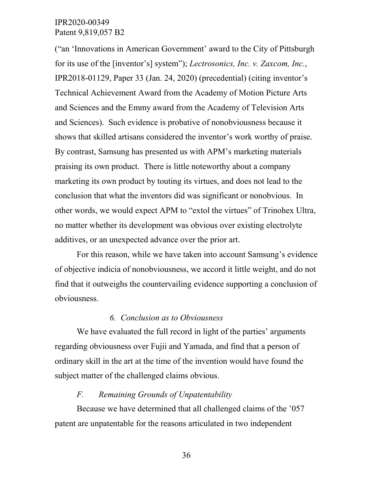("an 'Innovations in American Government' award to the City of Pittsburgh for its use of the [inventor's] system"); *Lectrosonics, Inc. v. Zaxcom, Inc.*, IPR2018-01129, Paper 33 (Jan. 24, 2020) (precedential) (citing inventor's Technical Achievement Award from the Academy of Motion Picture Arts and Sciences and the Emmy award from the Academy of Television Arts and Sciences). Such evidence is probative of nonobviousness because it shows that skilled artisans considered the inventor's work worthy of praise. By contrast, Samsung has presented us with APM's marketing materials praising its own product. There is little noteworthy about a company marketing its own product by touting its virtues, and does not lead to the conclusion that what the inventors did was significant or nonobvious. In other words, we would expect APM to "extol the virtues" of Trinohex Ultra, no matter whether its development was obvious over existing electrolyte additives, or an unexpected advance over the prior art.

For this reason, while we have taken into account Samsung's evidence of objective indicia of nonobviousness, we accord it little weight, and do not find that it outweighs the countervailing evidence supporting a conclusion of obviousness.

#### *6. Conclusion as to Obviousness*

We have evaluated the full record in light of the parties' arguments regarding obviousness over Fujii and Yamada, and find that a person of ordinary skill in the art at the time of the invention would have found the subject matter of the challenged claims obvious.

## *F. Remaining Grounds of Unpatentability*

Because we have determined that all challenged claims of the '057 patent are unpatentable for the reasons articulated in two independent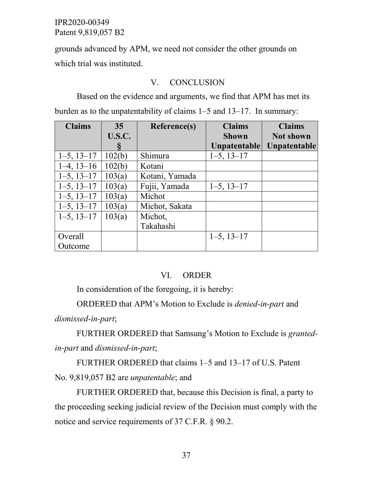grounds advanced by APM, we need not consider the other grounds on which trial was instituted.

#### V. CONCLUSION

Based on the evidence and arguments, we find that APM has met its burden as to the unpatentability of claims 1–5 and 13–17. In summary:

| <b>Claims</b>   | 35            | Reference(s)   | <b>Claims</b>   | <b>Claims</b>    |
|-----------------|---------------|----------------|-----------------|------------------|
|                 | <b>U.S.C.</b> |                | <b>Shown</b>    | <b>Not shown</b> |
|                 |               |                | Unpatentable    | Unpatentable     |
| $1-5$ , $13-17$ | 102(b)        | Shimura        | $1-5$ , $13-17$ |                  |
| $1-4$ , $13-16$ | 102(b)        | Kotani         |                 |                  |
| $1-5$ , $13-17$ | 103(a)        | Kotani, Yamada |                 |                  |
| $1-5$ , $13-17$ | 103(a)        | Fujii, Yamada  | $1-5$ , $13-17$ |                  |
| $1-5$ , $13-17$ | 103(a)        | Michot         |                 |                  |
| $1-5$ , $13-17$ | 103(a)        | Michot, Sakata |                 |                  |
| $1-5$ , $13-17$ | 103(a)        | Michot,        |                 |                  |
|                 |               | Takahashi      |                 |                  |
| Overall         |               |                | $1-5$ , $13-17$ |                  |
| Outcome         |               |                |                 |                  |

## VI. ORDER

In consideration of the foregoing, it is hereby:

ORDERED that APM's Motion to Exclude is *denied-in-part* and *dismissed-in-part*;

FURTHER ORDERED that Samsung's Motion to Exclude is *grantedin-part* and *dismissed-in-part*;

FURTHER ORDERED that claims 1–5 and 13–17 of U.S. Patent No. 9,819,057 B2 are *unpatentable*; and

FURTHER ORDERED that, because this Decision is final, a party to the proceeding seeking judicial review of the Decision must comply with the notice and service requirements of 37 C.F.R. § 90.2.